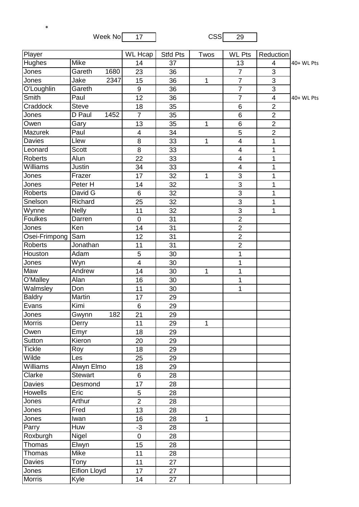Week No  $\begin{array}{|c|c|c|c|}\n\hline\n& 17 & \multicolumn{1}{|c|}{\text{CSS}} & \multicolumn{1}{|c|}{\text{CSS}} & \multicolumn{1}{|c|}{\text{GSS}} & \multicolumn{1}{|c|}{\text{GSS}} & \multicolumn{1}{|c|}{\text{GSS}} & \multicolumn{1}{|c|}{\text{GSS}} & \multicolumn{1}{|c|}{\text{GSS}} & \multicolumn{1}{|c|}{\text{GSS}} & \multicolumn{1}{|c|}{\text{GSS}} & \multicolumn{1}{|c|}{\text{GSS}} & \multicolumn{1}{|c$ 

\*

| Player         |                | $\overline{\text{WL}}$ Hcap | <b>Stfd Pts</b> | Twos         | <b>WL Pts</b>           | Reduction               |            |
|----------------|----------------|-----------------------------|-----------------|--------------|-------------------------|-------------------------|------------|
| Hughes         | Mike           | 14                          | 37              |              | 13                      | 4                       | 40+ WL Pts |
| Jones          | Gareth<br>1680 | 23                          | 36              |              | $\overline{7}$          | $\mathfrak{S}$          |            |
| Jones          | 2347<br>Jake   | 15                          | 36              | 1            | $\overline{7}$          | 3                       |            |
| O'Loughlin     | Gareth         | 9                           | 36              |              | $\overline{7}$          | 3                       |            |
| Smith          | Paul           | $\overline{12}$             | 36              |              | $\overline{7}$          | $\overline{\mathbf{4}}$ | 40+ WL Pts |
| Craddock       | <b>Steve</b>   | 18                          | 35              |              | $\,6$                   | $\overline{2}$          |            |
| Jones          | D Paul<br>1452 | $\overline{7}$              | 35              |              | $6\phantom{1}$          | $\overline{2}$          |            |
| Owen           | Gary           | 13                          | 35              | 1            | $6\phantom{1}$          | $\overline{2}$          |            |
| Mazurek        | Paul           | 4                           | 34              |              | 5                       | $\overline{2}$          |            |
| Davies         | Llew           | 8                           | 33              | $\mathbf{1}$ | $\overline{\mathbf{4}}$ | 1                       |            |
| Leonard        | <b>Scott</b>   | 8                           | 33              |              | $\overline{\mathbf{4}}$ | 1                       |            |
| <b>Roberts</b> | Alun           | 22                          | 33              |              | 4                       | 1                       |            |
| Williams       | Justin         | 34                          | 33              |              | $\overline{\mathbf{4}}$ | 1                       |            |
| Jones          | Frazer         | 17                          | 32              | 1            | 3                       | 1                       |            |
| Jones          | Peter H        | 14                          | 32              |              | $\overline{3}$          | 1                       |            |
| Roberts        | David G        | 6                           | 32              |              | 3                       | 1                       |            |
| Snelson        | Richard        | 25                          | 32              |              | 3                       | 1                       |            |
| Wynne          | <b>Nelly</b>   | 11                          | 32              |              | 3                       | 1                       |            |
| Foulkes        | Darren         | $\mathbf 0$                 | 31              |              | $\overline{2}$          |                         |            |
| Jones          | Ken            | 14                          | 31              |              | $\overline{2}$          |                         |            |
| Osei-Frimpong  | Sam            | 12                          | 31              |              | $\overline{2}$          |                         |            |
| <b>Roberts</b> | Jonathan       | 11                          | 31              |              | $\overline{2}$          |                         |            |
| Houston        | Adam           | 5                           | 30              |              | 1                       |                         |            |
| Jones          | Wyn            | 4                           | 30              |              | 1                       |                         |            |
| Maw            | Andrew         | 14                          | 30              | $\mathbf{1}$ | 1                       |                         |            |
| O'Malley       | Alan           | 16                          | 30              |              | 1                       |                         |            |
| Walmsley       | Don            | 11                          | 30              |              | 1                       |                         |            |
| <b>Baldry</b>  | Martin         | 17                          | 29              |              |                         |                         |            |
| Evans          | Kimi           | 6                           | 29              |              |                         |                         |            |
| Jones          | 182<br>Gwynn   | 21                          | 29              |              |                         |                         |            |
| <b>Morris</b>  | Derry          | 11                          | 29              | 1            |                         |                         |            |
| Owen           | Emyr           | 18                          | 29              |              |                         |                         |            |
| Sutton         | Kieron         | 20                          | 29              |              |                         |                         |            |
| <b>Tickle</b>  | Roy            | 18                          | 29              |              |                         |                         |            |
| Wilde          | Les            | 25                          | 29              |              |                         |                         |            |
| Williams       | Alwyn Elmo     | 18                          | 29              |              |                         |                         |            |
| Clarke         | <b>Stewart</b> | 6                           | 28              |              |                         |                         |            |
| Davies         | Desmond        | 17                          | 28              |              |                         |                         |            |
| Howells        | Eric           | 5                           | 28              |              |                         |                         |            |
| Jones          | Arthur         | $\overline{2}$              | 28              |              |                         |                         |            |
| Jones          | Fred           | 13                          | 28              |              |                         |                         |            |
| Jones          | Iwan           | 16                          | 28              | 1            |                         |                         |            |
| Parry          | Huw            | $-3$                        | 28              |              |                         |                         |            |
| Roxburgh       | Nigel          | $\pmb{0}$                   | 28              |              |                         |                         |            |
| Thomas         | Elwyn          | 15                          | 28              |              |                         |                         |            |
| Thomas         | Mike           | 11                          | 28              |              |                         |                         |            |
| Davies         | Tony           | 11                          | 27              |              |                         |                         |            |
| Jones          | Eifion Lloyd   | 17                          | 27              |              |                         |                         |            |
| <b>Morris</b>  | Kyle           | 14                          | 27              |              |                         |                         |            |
|                |                |                             |                 |              |                         |                         |            |